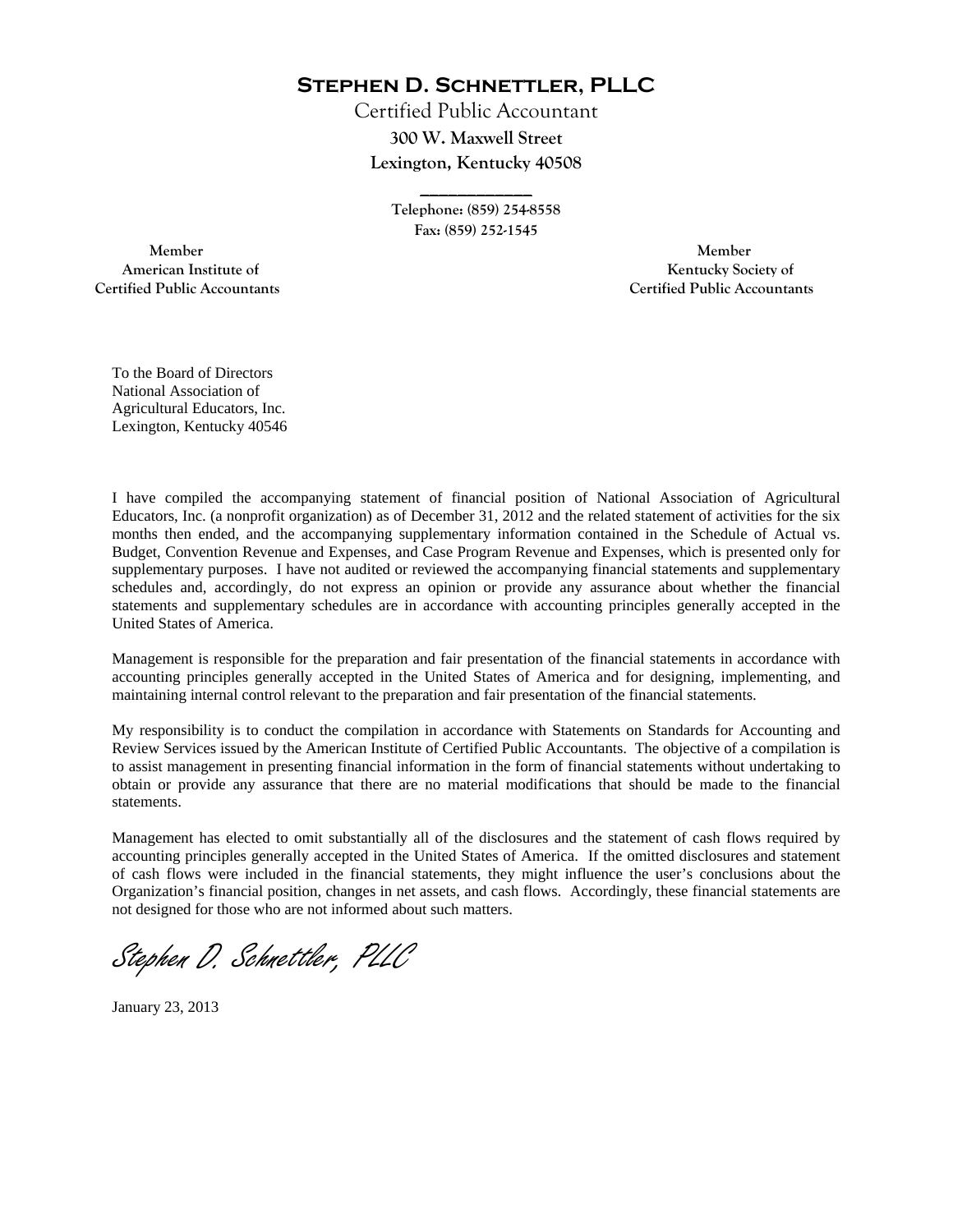**Stephen D. Schnettler, PLLC**

Certified Public Accountant **300 W. Maxwell Street Lexington, Kentucky 40508** 

> **Telephone: (859) 254-8558 Fax: (859) 252-1545**

**\_\_\_\_\_\_\_\_\_\_\_\_** 

 **Member Member Certified Public Accountants Certified Public Accountants** 

American Institute of **Kentucky Society of** 

To the Board of Directors National Association of Agricultural Educators, Inc. Lexington, Kentucky 40546

I have compiled the accompanying statement of financial position of National Association of Agricultural Educators, Inc. (a nonprofit organization) as of December 31, 2012 and the related statement of activities for the six months then ended, and the accompanying supplementary information contained in the Schedule of Actual vs. Budget, Convention Revenue and Expenses, and Case Program Revenue and Expenses, which is presented only for supplementary purposes. I have not audited or reviewed the accompanying financial statements and supplementary schedules and, accordingly, do not express an opinion or provide any assurance about whether the financial statements and supplementary schedules are in accordance with accounting principles generally accepted in the United States of America.

Management is responsible for the preparation and fair presentation of the financial statements in accordance with accounting principles generally accepted in the United States of America and for designing, implementing, and maintaining internal control relevant to the preparation and fair presentation of the financial statements.

My responsibility is to conduct the compilation in accordance with Statements on Standards for Accounting and Review Services issued by the American Institute of Certified Public Accountants. The objective of a compilation is to assist management in presenting financial information in the form of financial statements without undertaking to obtain or provide any assurance that there are no material modifications that should be made to the financial statements.

Management has elected to omit substantially all of the disclosures and the statement of cash flows required by accounting principles generally accepted in the United States of America. If the omitted disclosures and statement of cash flows were included in the financial statements, they might influence the user's conclusions about the Organization's financial position, changes in net assets, and cash flows. Accordingly, these financial statements are not designed for those who are not informed about such matters.

Stephen D. Schnettler, PLLC

January 23, 2013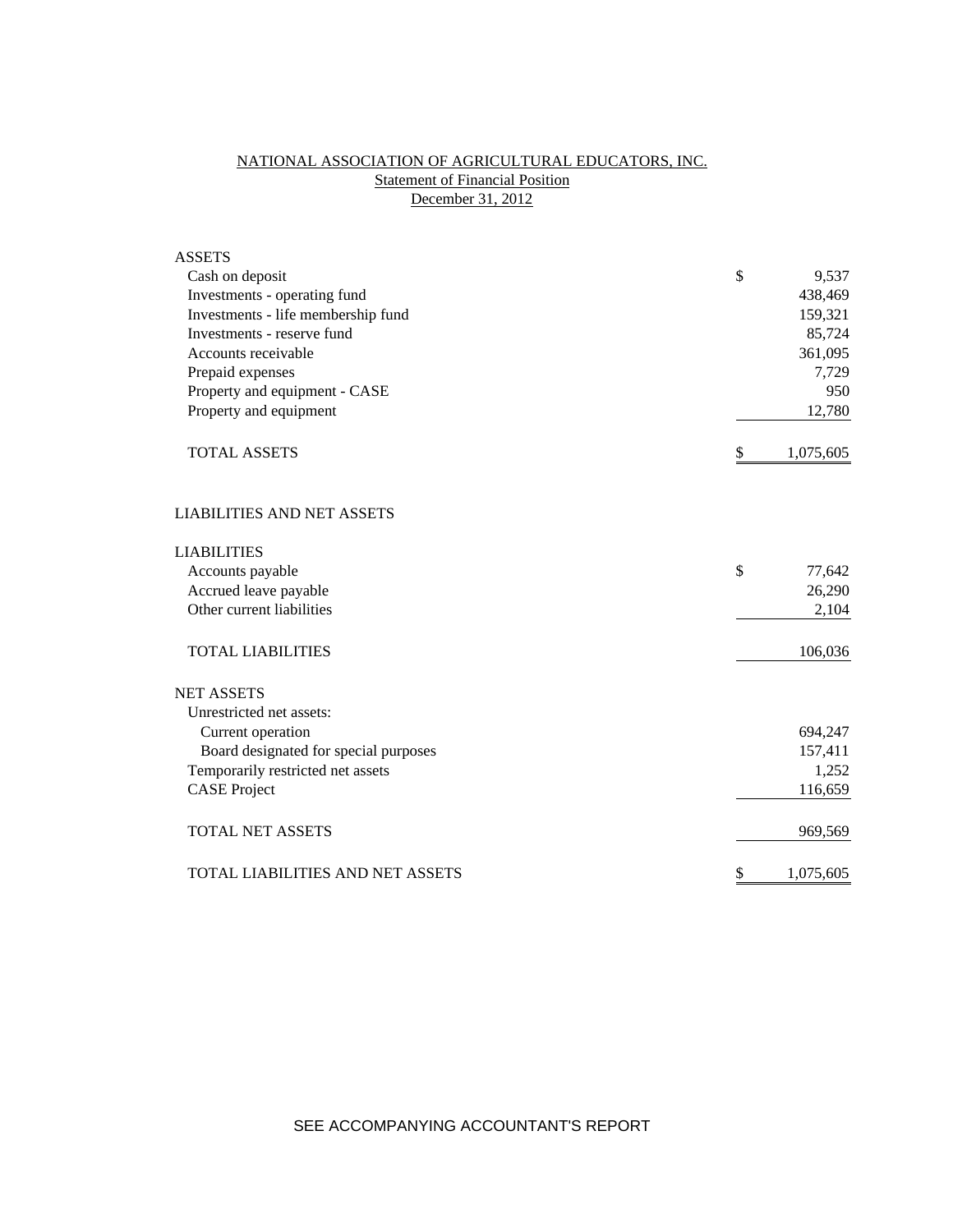# NATIONAL ASSOCIATION OF AGRICULTURAL EDUCATORS, INC. **Statement of Financial Position** December 31, 2012

| <b>ASSETS</b>                         |                 |
|---------------------------------------|-----------------|
| Cash on deposit                       | \$<br>9,537     |
| Investments - operating fund          | 438,469         |
| Investments - life membership fund    | 159,321         |
| Investments - reserve fund            | 85,724          |
| Accounts receivable                   | 361,095         |
| Prepaid expenses                      | 7,729           |
| Property and equipment - CASE         | 950             |
| Property and equipment                | 12,780          |
| <b>TOTAL ASSETS</b>                   | \$<br>1,075,605 |
| <b>LIABILITIES AND NET ASSETS</b>     |                 |
| <b>LIABILITIES</b>                    |                 |
| Accounts payable                      | \$<br>77,642    |
| Accrued leave payable                 | 26,290          |
| Other current liabilities             | 2,104           |
| <b>TOTAL LIABILITIES</b>              | 106,036         |
| <b>NET ASSETS</b>                     |                 |
| Unrestricted net assets:              |                 |
| Current operation                     | 694,247         |
| Board designated for special purposes | 157,411         |
| Temporarily restricted net assets     | 1,252           |
| <b>CASE Project</b>                   | 116,659         |
| <b>TOTAL NET ASSETS</b>               | 969,569         |
| TOTAL LIABILITIES AND NET ASSETS      | \$<br>1,075,605 |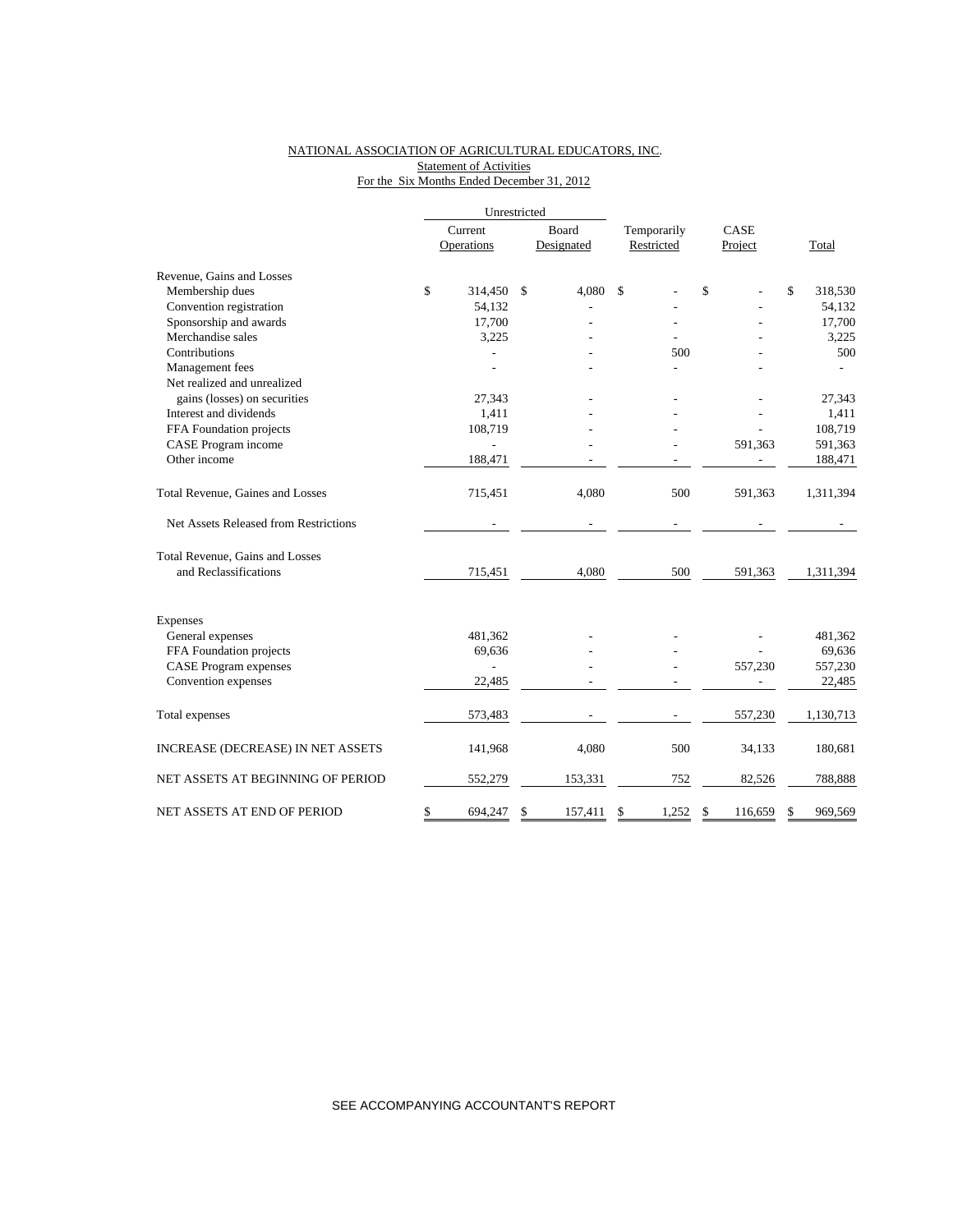## NATIONAL ASSOCIATION OF AGRICULTURAL EDUCATORS, INC. **Statement of Activities** For the Six Months Ended December 31, 2012

|                                       |         | Unrestricted   |    |            |             |    |         |    |           |
|---------------------------------------|---------|----------------|----|------------|-------------|----|---------|----|-----------|
|                                       | Current |                |    | Board      | Temporarily |    | CASE    |    |           |
|                                       |         | Operations     |    | Designated | Restricted  |    | Project |    | Total     |
| Revenue, Gains and Losses             |         |                |    |            |             |    |         |    |           |
| Membership dues                       | \$      | 314,450        | \$ | 4,080      | \$          | \$ |         | \$ | 318,530   |
| Convention registration               |         | 54,132         |    |            |             |    |         |    | 54,132    |
| Sponsorship and awards                |         | 17,700         |    |            |             |    |         |    | 17,700    |
| Merchandise sales                     |         | 3,225          |    |            |             |    |         |    | 3,225     |
| Contributions                         |         |                |    |            | 500         |    |         |    | 500       |
| Management fees                       |         |                |    |            |             |    |         |    |           |
| Net realized and unrealized           |         |                |    |            |             |    |         |    |           |
| gains (losses) on securities          |         | 27,343         |    |            |             |    |         |    | 27,343    |
| Interest and dividends                |         | 1,411          |    |            |             |    |         |    | 1,411     |
| FFA Foundation projects               |         | 108,719        |    |            |             |    |         |    | 108,719   |
| CASE Program income                   |         |                |    |            |             |    | 591,363 |    | 591,363   |
| Other income                          |         | 188,471        |    |            |             |    |         |    | 188,471   |
| Total Revenue, Gaines and Losses      |         | 715,451        |    | 4,080      | 500         |    | 591,363 |    | 1,311,394 |
| Net Assets Released from Restrictions |         |                |    |            |             |    |         |    |           |
| Total Revenue, Gains and Losses       |         |                |    |            |             |    |         |    |           |
| and Reclassifications                 |         | 715,451        |    | 4,080      | 500         |    | 591,363 |    | 1,311,394 |
| <b>Expenses</b>                       |         |                |    |            |             |    |         |    |           |
| General expenses                      |         | 481,362        |    |            |             |    |         |    | 481,362   |
| FFA Foundation projects               |         | 69,636         |    |            |             |    |         |    | 69,636    |
| <b>CASE Program expenses</b>          |         | $\overline{a}$ |    |            |             |    | 557,230 |    | 557,230   |
| Convention expenses                   |         | 22,485         |    |            |             |    |         |    | 22,485    |
|                                       |         |                |    |            |             |    |         |    |           |
| Total expenses                        |         | 573,483        |    |            |             |    | 557,230 |    | 1,130,713 |
| INCREASE (DECREASE) IN NET ASSETS     |         | 141,968        |    | 4,080      | 500         |    | 34,133  |    | 180,681   |
| NET ASSETS AT BEGINNING OF PERIOD     |         | 552,279        |    | 153,331    | 752         |    | 82,526  |    | 788,888   |
| NET ASSETS AT END OF PERIOD           | \$      | 694,247        | \$ | 157,411    | \$<br>1,252 | \$ | 116.659 | \$ | 969,569   |

SEE ACCOMPANYING ACCOUNTANT'S REPORT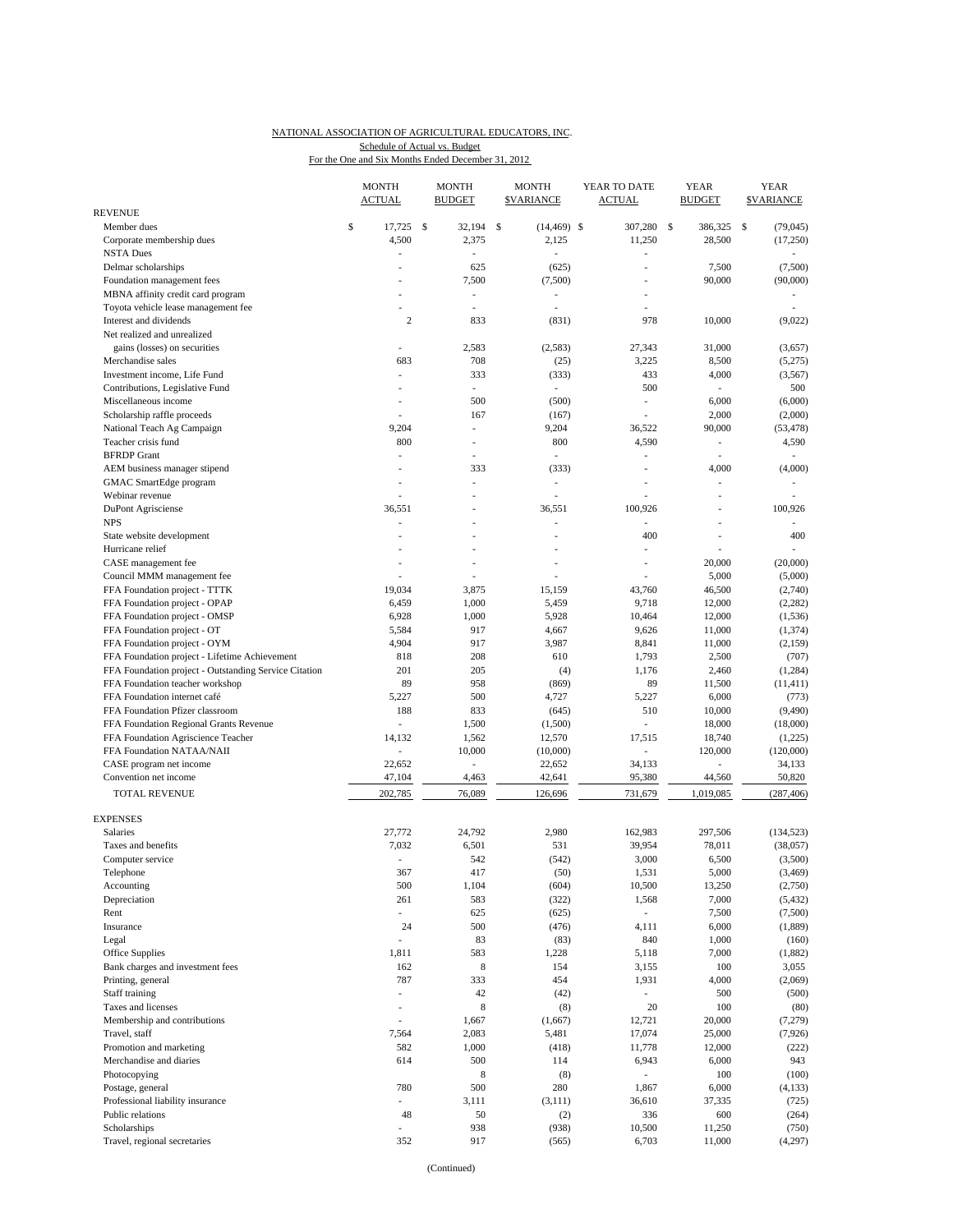### NATIONAL ASSOCIATION OF AGRICULTURAL EDUCATORS, INC. For the One and Six Months Ended December 31, 2012 Schedule of Actual vs. Budget

|                                                       | <b>MONTH</b><br><b>ACTUAL</b> | MONTH<br><b>BUDGET</b>   | MONTH<br><b>\$VARIANCE</b> | YEAR TO DATE<br><b>ACTUAL</b> | YEAR<br><b>BUDGET</b>    | YEAR<br><b>SVARIANCE</b> |
|-------------------------------------------------------|-------------------------------|--------------------------|----------------------------|-------------------------------|--------------------------|--------------------------|
| <b>REVENUE</b>                                        |                               |                          |                            |                               |                          |                          |
| Member dues                                           | \$<br>17,725                  | \$<br>32,194             | \$<br>$(14, 469)$ \$       | 307,280                       | \$<br>386,325            | \$<br>(79, 045)          |
| Corporate membership dues                             | 4,500                         | 2,375                    | 2,125                      | 11,250                        | 28,500                   | (17,250)                 |
| <b>NSTA Dues</b>                                      | Ĭ.                            | ÷,                       |                            |                               |                          |                          |
| Delmar scholarships                                   | ٠                             | 625                      | (625)                      | ä,                            | 7,500                    | (7,500)                  |
| Foundation management fees                            |                               | 7,500                    | (7,500)                    | $\overline{a}$                | 90,000                   | (90,000)                 |
| MBNA affinity credit card program                     |                               | ٠                        | $\overline{a}$             |                               |                          | $\overline{a}$           |
| Toyota vehicle lease management fee                   |                               | $\overline{\phantom{a}}$ | L,                         |                               |                          |                          |
| Interest and dividends                                | $\mathbf{2}$                  | 833                      | (831)                      | 978                           | 10,000                   | (9,022)                  |
| Net realized and unrealized                           |                               |                          |                            |                               |                          |                          |
| gains (losses) on securities                          | ÷,                            | 2,583                    | (2, 583)                   | 27,343                        | 31,000                   | (3,657)                  |
| Merchandise sales                                     | 683                           | 708                      | (25)                       | 3,225                         | 8,500                    | (5,275)                  |
| Investment income, Life Fund                          | $\overline{a}$                | 333                      | (333)                      | 433                           | 4,000                    | (3, 567)                 |
| Contributions, Legislative Fund                       | ٠                             | ×.                       | ٠                          | 500                           | ٠                        | 500                      |
| Miscellaneous income                                  | ÷,                            | 500                      | (500)                      | L,                            | 6,000                    | (6,000)                  |
| Scholarship raffle proceeds                           |                               | 167                      | (167)                      |                               | 2,000                    | (2,000)                  |
| National Teach Ag Campaign                            | 9,204                         | $\sim$                   | 9,204                      | 36,522                        | 90,000                   | (53, 478)                |
| Teacher crisis fund                                   | 800                           | ٠                        | 800                        | 4,590                         | $\overline{\phantom{a}}$ | 4,590                    |
| <b>BFRDP</b> Grant                                    | ÷,                            |                          | $\sim$                     |                               | $\overline{\phantom{a}}$ | ÷.                       |
| AEM business manager stipend                          |                               | 333                      | (333)                      |                               | 4,000                    | (4,000)                  |
| GMAC SmartEdge program                                | Ĭ.                            | ٠                        | L,                         | $\overline{a}$                | ä,                       | $\overline{a}$           |
| Webinar revenue                                       |                               | ٠                        | L,                         |                               | ٠                        |                          |
| DuPont Agrisciense                                    | 36,551                        |                          | 36,551                     | 100.926                       | ä,                       | 100,926                  |
| <b>NPS</b>                                            | L,                            |                          | i.                         |                               | $\frac{1}{2}$            |                          |
| State website development                             | ÷.                            | ÷.                       | ä,                         | 400                           | ä,                       | 400                      |
| Hurricane relief                                      |                               | $\overline{\phantom{a}}$ | L,                         |                               |                          | $\overline{\phantom{a}}$ |
| CASE management fee                                   |                               |                          | ä,                         | ÷.                            | 20,000                   | (20,000)                 |
| Council MMM management fee                            |                               |                          |                            |                               | 5,000                    | (5,000)                  |
| FFA Foundation project - TTTK                         | 19.034                        | 3,875                    | 15,159                     | 43,760                        | 46,500                   | (2,740)                  |
| FFA Foundation project - OPAP                         | 6,459                         | 1,000                    | 5,459                      | 9,718                         | 12,000                   | (2, 282)                 |
| FFA Foundation project - OMSP                         | 6,928                         | 1,000                    | 5,928                      | 10,464                        | 12,000                   | (1, 536)                 |
| FFA Foundation project - OT                           | 5,584                         | 917                      | 4,667                      | 9,626                         | 11,000                   | (1, 374)                 |
| FFA Foundation project - OYM                          | 4,904                         | 917                      | 3,987                      | 8,841                         | 11,000                   | (2,159)                  |
| FFA Foundation project - Lifetime Achievement         | 818                           | 208                      | 610                        | 1,793                         | 2,500                    | (707)                    |
| FFA Foundation project - Outstanding Service Citation | 201                           | 205                      | (4)                        | 1,176                         | 2,460                    | (1,284)                  |
| FFA Foundation teacher workshop                       | 89                            | 958                      | (869)                      | 89                            | 11,500                   | (11, 411)                |
| FFA Foundation internet café                          | 5,227                         | 500                      | 4,727                      | 5,227                         | 6,000                    | (773)                    |
| FFA Foundation Pfizer classroom                       | 188                           | 833                      | (645)                      | 510                           | 10,000                   | (9, 490)                 |
| FFA Foundation Regional Grants Revenue                | ÷,                            | 1,500                    | (1,500)                    |                               | 18,000                   | (18,000)                 |
| FFA Foundation Agriscience Teacher                    | 14,132                        | 1,562                    | 12,570                     | 17,515                        | 18,740                   | (1,225)                  |
| FFA Foundation NATAA/NAII                             | L,                            | 10,000                   | (10,000)                   | ÷,                            | 120,000                  | (120,000)                |
| CASE program net income                               | 22,652                        | $\overline{\phantom{a}}$ | 22,652                     | 34,133                        | $\frac{1}{2}$            | 34,133                   |
| Convention net income                                 | 47,104                        | 4,463                    | 42,641                     | 95,380                        | 44,560                   | 50,820                   |
| <b>TOTAL REVENUE</b>                                  | 202,785                       | 76,089                   | 126,696                    | 731,679                       | 1,019,085                | (287, 406)               |
|                                                       |                               |                          |                            |                               |                          |                          |
| <b>EXPENSES</b>                                       |                               |                          |                            |                               |                          |                          |
| <b>Salaries</b>                                       | 27,772                        | 24,792                   | 2,980                      | 162,983                       | 297,506                  | (134, 523)               |
| Taxes and benefits                                    | 7,032                         | 6,501                    | 531                        | 39,954                        | 78,011                   | (38,057)                 |
| Computer service                                      | L,                            | 542                      | (542)                      | 3,000                         | 6,500                    | (3,500)                  |
| Telephone                                             | 367                           | 417                      | (50)                       | 1,531                         | 5,000                    | (3, 469)                 |
| Accounting                                            | 500                           | 1,104                    | (604)                      | 10,500                        | 13,250                   | (2,750)                  |
| Depreciation                                          | 261                           | 583                      | (322)                      | 1,568                         | 7,000                    | (5, 432)                 |
| Rent                                                  | $\overline{\phantom{a}}$      | 625                      | (625)                      | ÷.                            | 7,500                    | (7,500)                  |
| Insurance                                             | 24                            | 500                      | (476)                      | 4,111                         | 6,000                    | (1,889)                  |
| Legal                                                 | $\overline{a}$                | 83                       | (83)                       | 840                           | 1,000                    | (160)                    |
| Office Supplies                                       | 1,811                         | 583                      | 1,228                      | 5,118                         | 7,000                    | (1,882)                  |
| Bank charges and investment fees                      | 162                           | $\,$ 8 $\,$              | 154                        | 3,155                         | 100                      | 3,055                    |
| Printing, general                                     | 787                           | 333                      | 454                        | 1,931                         | 4,000                    | (2,069)                  |
| Staff training                                        | L,                            | 42                       | (42)                       |                               | 500                      | (500)                    |
| Taxes and licenses                                    | $\overline{\phantom{a}}$      | 8                        | (8)                        | $20\,$                        | 100                      | (80)                     |
| Membership and contributions                          | J.                            | 1,667                    | (1,667)                    | 12,721                        | 20,000                   | (7, 279)                 |
| Travel, staff                                         | 7,564                         | 2,083                    | 5,481                      | 17,074                        | 25,000                   | (7, 926)                 |
| Promotion and marketing                               | 582                           | 1,000                    | (418)                      | 11,778                        | 12,000                   | (222)                    |
| Merchandise and diaries                               | 614                           | 500                      | 114                        | 6,943                         | 6,000                    | 943                      |
| Photocopying                                          |                               | 8                        | (8)                        | $\overline{\phantom{a}}$      | 100                      | (100)                    |
| Postage, general                                      | 780                           | 500                      | 280                        | 1,867                         | 6,000                    | (4, 133)                 |
| Professional liability insurance                      | $\frac{1}{2}$                 | 3,111                    | (3, 111)                   | 36,610                        | 37,335                   | (725)                    |
| Public relations                                      | 48                            | 50                       | (2)                        | 336                           | 600                      | (264)                    |
| Scholarships                                          | $\overline{a}$                | 938                      | (938)                      | 10,500                        | 11,250                   | (750)                    |
| Travel, regional secretaries                          | 352                           | 917                      | (565)                      | 6,703                         | 11,000                   | (4,297)                  |
|                                                       |                               |                          |                            |                               |                          |                          |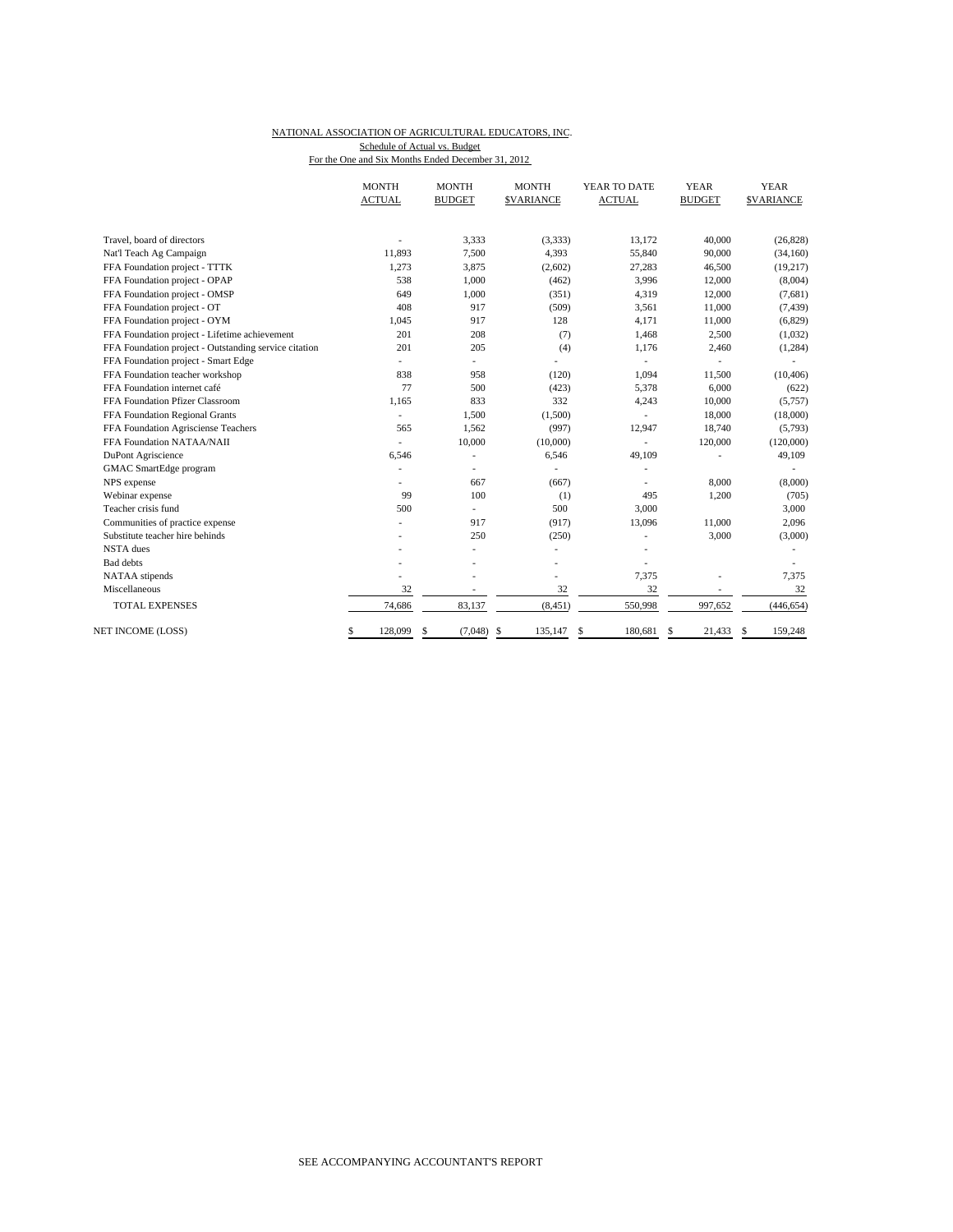### NATIONAL ASSOCIATION OF AGRICULTURAL EDUCATORS, INC. For the One and Six Months Ended December 31, 2012 Schedule of Actual vs. Budget

|                                                       | <b>MONTH</b>  | <b>MONTH</b>             | <b>MONTH</b>             | YEAR TO DATE             | <b>YEAR</b>    | <b>YEAR</b>      |
|-------------------------------------------------------|---------------|--------------------------|--------------------------|--------------------------|----------------|------------------|
|                                                       | <b>ACTUAL</b> | <b>BUDGET</b>            | <b>\$VARIANCE</b>        | <b>ACTUAL</b>            | <b>BUDGET</b>  | <b>SVARIANCE</b> |
|                                                       |               |                          |                          |                          |                |                  |
| Travel, board of directors                            |               | 3,333                    | (3,333)                  | 13,172                   | 40,000         | (26, 828)        |
| Nat'l Teach Ag Campaign                               | 11,893        | 7,500                    | 4,393                    | 55,840                   | 90,000         | (34, 160)        |
| FFA Foundation project - TTTK                         | 1.273         | 3,875                    | (2,602)                  | 27,283                   | 46,500         | (19, 217)        |
| FFA Foundation project - OPAP                         | 538           | 1,000                    | (462)                    | 3,996                    | 12,000         | (8,004)          |
| FFA Foundation project - OMSP                         | 649           | 1,000                    | (351)                    | 4,319                    | 12,000         | (7,681)          |
| FFA Foundation project - OT                           | 408           | 917                      | (509)                    | 3,561                    | 11,000         | (7, 439)         |
| FFA Foundation project - OYM                          | 1.045         | 917                      | 128                      | 4,171                    | 11,000         | (6, 829)         |
| FFA Foundation project - Lifetime achievement         | 201           | 208                      | (7)                      | 1,468                    | 2,500          | (1,032)          |
| FFA Foundation project - Outstanding service citation | 201           | 205                      | (4)                      | 1,176                    | 2,460          | (1, 284)         |
| FFA Foundation project - Smart Edge                   | ٠             | $\overline{\phantom{0}}$ |                          | $\overline{\phantom{a}}$ |                |                  |
| FFA Foundation teacher workshop                       | 838           | 958                      | (120)                    | 1.094                    | 11,500         | (10, 406)        |
| FFA Foundation internet café                          | 77            | 500                      | (423)                    | 5,378                    | 6,000          | (622)            |
| FFA Foundation Pfizer Classroom                       | 1,165         | 833                      | 332                      | 4,243                    | 10,000         | (5,757)          |
| FFA Foundation Regional Grants                        |               | 1,500                    | (1,500)                  |                          | 18,000         | (18,000)         |
| FFA Foundation Agrisciense Teachers                   | 565           | 1,562                    | (997)                    | 12,947                   | 18,740         | (5,793)          |
| FFA Foundation NATAA/NAII                             | ÷.            | 10,000                   | (10,000)                 | ä,                       | 120,000        | (120,000)        |
| DuPont Agriscience                                    | 6,546         | ٠                        | 6,546                    | 49,109                   |                | 49,109           |
| GMAC SmartEdge program                                |               |                          |                          |                          |                |                  |
| NPS expense                                           |               | 667                      | (667)                    |                          | 8,000          | (8,000)          |
| Webinar expense                                       | 99            | 100                      | (1)                      | 495                      | 1,200          | (705)            |
| Teacher crisis fund                                   | 500           | ÷,                       | 500                      | 3,000                    |                | 3,000            |
| Communities of practice expense                       |               | 917                      | (917)                    | 13,096                   | 11,000         | 2,096            |
| Substitute teacher hire behinds                       |               | 250                      | (250)                    |                          | 3,000          | (3,000)          |
| <b>NSTA</b> dues                                      |               | ٠                        | $\overline{a}$           |                          |                |                  |
| <b>Bad</b> debts                                      |               |                          |                          |                          |                |                  |
| NATAA stipends                                        |               |                          |                          | 7,375                    |                | 7,375            |
| Miscellaneous                                         | 32            | ÷,                       | 32                       | 32                       | $\overline{a}$ | 32               |
| <b>TOTAL EXPENSES</b>                                 | 74,686        | 83,137                   | (8, 451)                 | 550,998                  | 997,652        | (446, 654)       |
| <b>NET INCOME (LOSS)</b>                              | \$<br>128,099 | \$<br>(7,048)            | <sup>\$</sup><br>135,147 | 180.681<br>\$            | 21,433<br>\$   | 159,248<br>-S    |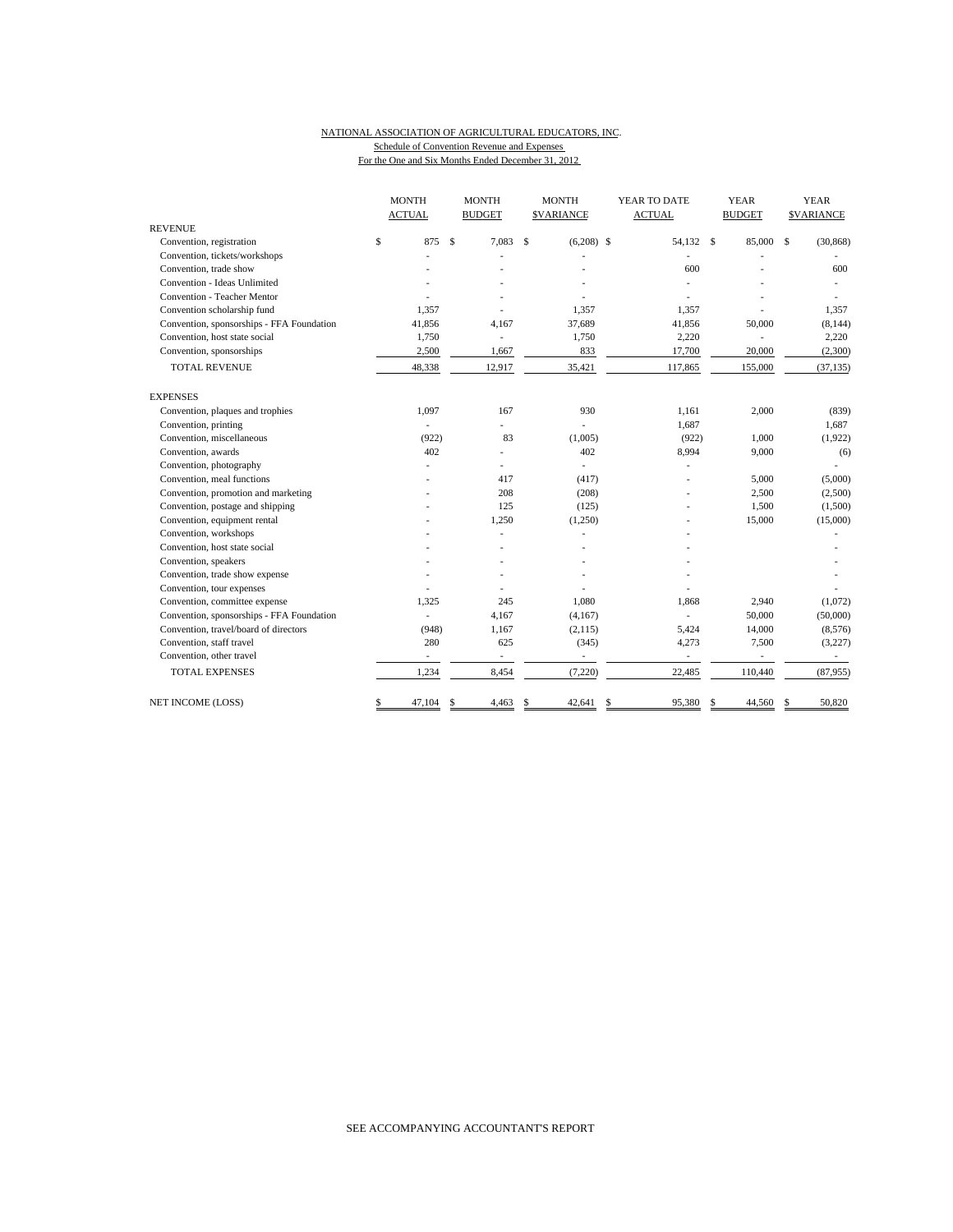### NATIONAL ASSOCIATION OF AGRICULTURAL EDUCATORS, INC. Schedule of Convention Revenue and Expenses

For the One and Six Months Ended December 31, 2012

|                                           | <b>MONTH</b>  |              | <b>MONTH</b>             |     | <b>MONTH</b>     | YEAR TO DATE             |               | <b>YEAR</b>   |                    | <b>YEAR</b>      |
|-------------------------------------------|---------------|--------------|--------------------------|-----|------------------|--------------------------|---------------|---------------|--------------------|------------------|
|                                           | <b>ACTUAL</b> |              | <b>BUDGET</b>            |     | <b>SVARIANCE</b> | <b>ACTUAL</b>            |               | <b>BUDGET</b> |                    | <b>SVARIANCE</b> |
| <b>REVENUE</b>                            |               |              |                          |     |                  |                          |               |               |                    |                  |
| Convention, registration                  | \$<br>875     | $\mathbb{S}$ | 7,083                    | Ŝ   | $(6,208)$ \$     | 54,132 \$                |               | 85,000        | $\mathbf{\hat{S}}$ | (30, 868)        |
| Convention, tickets/workshops             |               |              |                          |     |                  |                          |               |               |                    |                  |
| Convention, trade show                    |               |              |                          |     |                  | 600                      |               |               |                    | 600              |
| Convention - Ideas Unlimited              |               |              |                          |     |                  |                          |               |               |                    |                  |
| Convention - Teacher Mentor               |               |              |                          |     |                  |                          |               |               |                    |                  |
| Convention scholarship fund               | 1.357         |              |                          |     | 1.357            | 1,357                    |               |               |                    | 1,357            |
| Convention, sponsorships - FFA Foundation | 41,856        |              | 4,167                    |     | 37,689           | 41,856                   |               | 50,000        |                    | (8, 144)         |
| Convention, host state social             | 1,750         |              | $\overline{\phantom{a}}$ |     | 1,750            | 2,220                    |               |               |                    | 2,220            |
| Convention, sponsorships                  | 2,500         |              | 1,667                    |     | 833              | 17,700                   |               | 20,000        |                    | (2,300)          |
| <b>TOTAL REVENUE</b>                      | 48,338        |              | 12,917                   |     | 35,421           | 117,865                  |               | 155,000       |                    | (37, 135)        |
| <b>EXPENSES</b>                           |               |              |                          |     |                  |                          |               |               |                    |                  |
| Convention, plaques and trophies          | 1,097         |              | 167                      |     | 930              | 1,161                    |               | 2,000         |                    | (839)            |
| Convention, printing                      |               |              | ÷,                       |     |                  | 1,687                    |               |               |                    | 1,687            |
| Convention, miscellaneous                 | (922)         |              | 83                       |     | (1,005)          | (922)                    |               | 1,000         |                    | (1,922)          |
| Convention, awards                        | 402           |              | $\overline{a}$           |     | 402              | 8,994                    |               | 9,000         |                    | (6)              |
| Convention, photography                   |               |              | $\overline{a}$           |     | ÷,               |                          |               |               |                    | ä,               |
| Convention, meal functions                |               |              | 417                      |     | (417)            |                          |               | 5,000         |                    | (5,000)          |
| Convention, promotion and marketing       |               |              | 208                      |     | (208)            |                          |               | 2,500         |                    | (2,500)          |
| Convention, postage and shipping          |               |              | 125                      |     | (125)            |                          |               | 1,500         |                    | (1,500)          |
| Convention, equipment rental              |               |              | 1,250                    |     | (1,250)          |                          |               | 15,000        |                    | (15,000)         |
| Convention, workshops                     |               |              | L,                       |     |                  |                          |               |               |                    |                  |
| Convention, host state social             |               |              |                          |     |                  |                          |               |               |                    |                  |
| Convention, speakers                      |               |              |                          |     |                  |                          |               |               |                    |                  |
| Convention, trade show expense            |               |              |                          |     |                  |                          |               |               |                    |                  |
| Convention, tour expenses                 |               |              |                          |     |                  |                          |               |               |                    |                  |
| Convention, committee expense             | 1,325         |              | 245                      |     | 1,080            | 1,868                    |               | 2,940         |                    | (1,072)          |
| Convention, sponsorships - FFA Foundation |               |              | 4,167                    |     | (4, 167)         |                          |               | 50,000        |                    | (50,000)         |
| Convention, travel/board of directors     | (948)         |              | 1,167                    |     | (2,115)          | 5,424                    |               | 14,000        |                    | (8,576)          |
| Convention, staff travel                  | 280           |              | 625                      |     | (345)            | 4,273                    |               | 7,500         |                    | (3,227)          |
| Convention, other travel                  | ٠             |              | ÷,                       |     | ÷,               | $\overline{\phantom{a}}$ |               | ÷,            |                    | $\sim$           |
| <b>TOTAL EXPENSES</b>                     | 1,234         |              | 8,454                    |     | (7,220)          | 22,485                   |               | 110,440       |                    | (87,955)         |
| NET INCOME (LOSS)                         | \$<br>47,104  | S            | 4,463                    | \$. | 42,641           | \$<br>95,380             | <sup>\$</sup> | 44,560        | S                  | 50,820           |